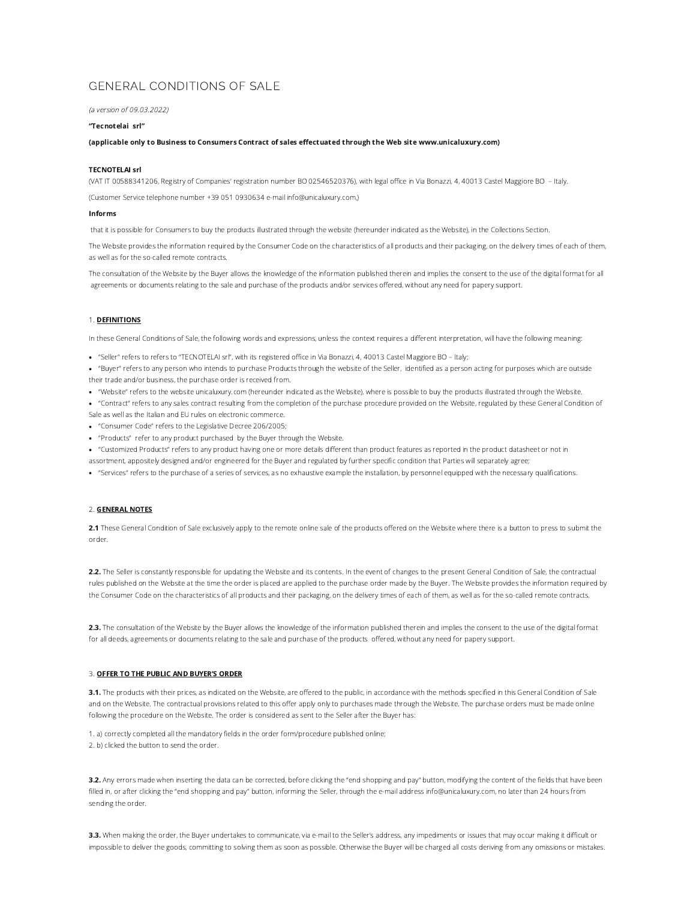# GENERAL CONDITIONS OF SALE

(a version of 09.03.2022)

## "Tecnotelai srl"

(applicable only to Business to Consumers Contract of sales effectuated through the Web site [www.unicaluxury.com](http://www.unicaluxury.com/))

## TECNOTELAI srl

(VAT IT 00588341206, Registry of Companies' registration number BO 02546520376), with legal office in Via Bonazzi, 4, 40013 Castel Maggiore BO – Italy.

(Customer Service telephone number +39 051 0930634 e-mail info@unicaluxury.com,)

## Informs

that it is possible for Consumers to buy the products illustrated through the website (hereunder indicated as the Website), in the Collections Section.

The Website provides the information required by the Consumer Code on the characteristics of all products and their packaging, on the delivery times of each of them, as well as for the so-called remote contracts.

The consultation of the Website by the Buyer allows the knowledge of the information published therein and implies the consent to the use of the digital format for all agreements or documents relating to the sale and purchase of the products and/or services offered, without any need for papery support.

#### 1. DEFINITIONS

In these General Conditions of Sale, the following words and expressions, unless the context requires a different interpretation, will have the following meaning:

- "Seller" refers to refers to "TECNOTELAI srl", with its registered office in Via Bonazzi, 4, 40013 Castel Maggiore BO Italy;
- "Buyer" refers to any person who intends to purchase Products through the website of the Seller, identified as a person acting for purposes which are outside their trade and/or business, the purchase order is received from.
- "Website" refers to the website [unicaluxury.com](http://www.unicaluxury.com/) (hereunder indicated as the Website), where is possible to buy the products illustrated through the Website.
- "Contract" refers to any sales contract resulting from the completion of the purchase procedure provided on the Website, regulated by these General Condition of Sale as well as the Italian and EU rules on electronic commerce.
- "Consumer Code" refers to the Legislative Decree 206/2005;
- "Products" refer to any product purchased by the Buyer through the Website.
- "Customized Products" refers to any product having one or more details different than product features as reported in the product datasheet or not in assortment, appositely designed and/or engineered for the Buyer and regulated by further specific condition that Parties will separately agree;
- "Services" refers to the purchase of a series of services, as no exhaustive example the installation, by personnel equipped with the necessary qualifications.

#### 2. GENERAL NOTES

2.1 These General Condition of Sale exclusively apply to the remote online sale of the products offered on the Website where there is a button to press to submit the order.

2.2. The Seller is constantly responsible for updating the Website and its contents. In the event of changes to the present General Condition of Sale, the contractual rules published on the Website at the time the order is placed are applied to the purchase order made by the Buyer. The Website provides the information required by the Consumer Code on the characteristics of all products and their packaging, on the delivery times of each of them, as well as for the so-called remote contracts.

2.3. The consultation of the Website by the Buyer allows the knowledge of the information published therein and implies the consent to the use of the digital format for all deeds, agreements or documents relating to the sale and purchase of the products offered, without any need for papery support.

# 3. OFFER TO THE PUBLIC AND BUYER'S ORDER

3.1. The products with their prices, as indicated on the Website, are offered to the public, in accordance with the methods specified in this General Condition of Sale and on the Website. The contractual provisions related to this offer apply only to purchases made through the Website. The purchase orders must be made online following the procedure on the Website. The order is considered as sent to the Seller after the Buyer has:

1. a) correctly completed all the mandatory fields in the order form/procedure published online; 2. b) clicked the button to send the order.

3.2. Any errors made when inserting the data can be corrected, before clicking the "end shopping and pay" button, modifying the content of the fields that have been filled in, or after clicking the "end shopping and pay" button, informing the Seller, through the e-mail address info@unicaluxury.com, no later than 24 hours from sending the order.

3.3. When making the order, the Buyer undertakes to communicate, via e-mail to the Seller's address, any impediments or issues that may occur making it difficult or impossible to deliver the goods, committing to solving them as soon as possible. Otherwise the Buyer will be charged all costs deriving from any omissions or mistakes.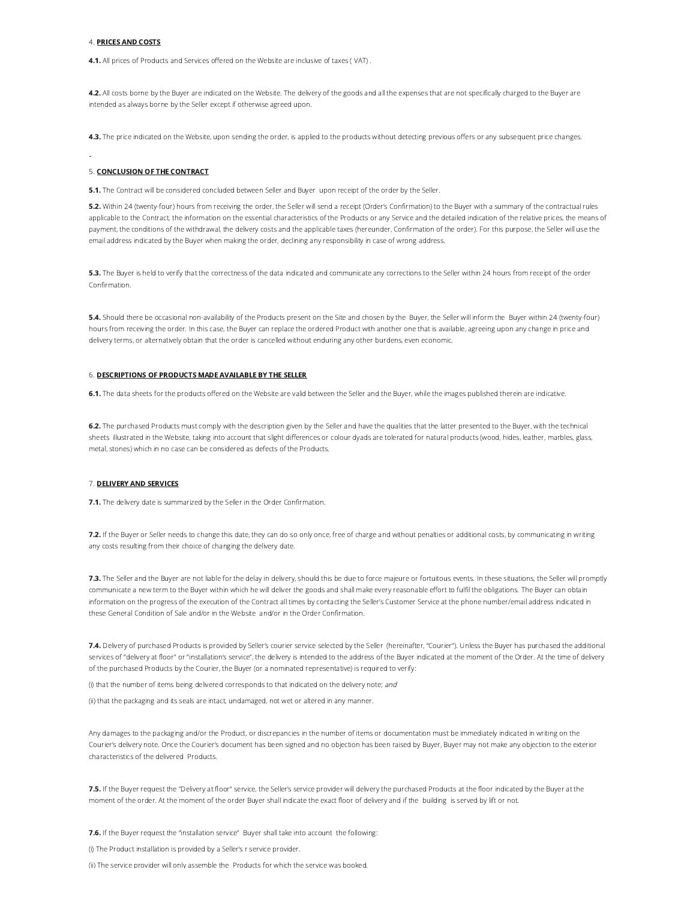# 4. PRICES AND COSTS

4.1. All prices of Products and Services offered on the Website are inclusive of taxes (VAT).

4.2. All costs borne by the Buyer are indicated on the Website. The delivery of the goods and all the expenses that are not specifically charged to the Buyer are intended as always borne by the Seller except if otherwise agreed upon.

4.3. The price indicated on the Website, upon sending the order, is applied to the products without detecting previous offers or any subsequent price changes.

#### 5. CONCLUSION OF THE CONTRACT

5.1. The Contract will be considered concluded between Seller and Buyer upon receipt of the order by the Seller.

5.2. Within 24 (twenty-four) hours from receiving the order, the Seller will send a receipt (Order's Confirmation) to the Buyer with a summary of the contractual rules applicable to the Contract, the information on the essential characteristics of the Products or any Service and the detailed indication of the relative prices, the means of payment, the conditions of the withdrawal, the delivery costs and the applicable taxes (hereunder, Confirmation of the order). For this purpose, the Seller will use the email address indicated by the Buyer when making the order, declining any responsibility in case of wrong address.

5.3. The Buyer is held to verify that the correctness of the data indicated and communicate any corrections to the Seller within 24 hours from receipt of the order Confirmation.

5.4. Should there be occasional non-availability of the Products present on the Site and chosen by the Buyer, the Seller will inform the Buyer within 24 (twenty-four) hours from receiving the order. In this case, the Buyer can replace the ordered Product with another one that is available, agreeing upon any change in price and delivery terms, or alternatively obtain that the order is cancelled without enduring any other burdens, even economic.

# 6. DESCRIPTIONS OF PRODUCTS MADE AVAILABLE BY THE SELLER

6.1. The data sheets for the products offered on the Website are valid between the Seller and the Buyer, while the images published therein are indicative.

6.2. The purchased Products must comply with the description given by the Seller and have the qualities that the latter presented to the Buyer, with the technical sheets illustrated in the Website, taking into account that slight differences or colour dyads are tolerated for natural products (wood, hides, leather, marbles, glass, metal, stones) which in no case can be considered as defects of the Products.

## 7. DELIVERY AND SERVICES

7.1. The delivery date is summarized by the Seller in the Order Confirmation.

7.2. If the Buyer or Seller needs to change this date, they can do so only once, free of charge and without penalties or additional costs, by communicating in writing any costs resulting from their choice of changing the delivery date.

7.3. The Seller and the Buyer are not liable for the delay in delivery, should this be due to force majeure or fortuitous events. In these situations, the Seller will promptly communicate a new term to the Buyer within which he will deliver the goods and shall make every reasonable effort to fulfil the obligations. The Buyer can obtain information on the progress of the execution of the Contract all times by contacting the Seller's Customer Service at the phone number/email address indicated in these General Condition of Sale and/or in the Website and/or in the Order Confirmation.

7.4. Delivery of purchased Products is provided by Seller's courier service selected by the Seller (hereinafter, "Courier"). Unless the Buyer has purchased the additional services of "delivery at floor" or "installation's service", the delivery is intended to the address of the Buyer indicated at the moment of the Order. At the time of delivery of the purchased Products by the Courier, the Buyer (or a nominated representative) is required to verify:

(i) that the number of items being delivered corresponds to that indicated on the delivery note; and

(ii) that the packaging and its seals are intact, undamaged, not wet or altered in any manner.

Any damages to the packaging and/or the Product, or discrepancies in the number of items or documentation must be immediately indicated in writing on the Courier's delivery note. Once the Courier's document has been signed and no objection has been raised by Buyer, Buyer may not make any objection to the exterior characteristics of the delivered Products.

7.5. If the Buyer request the "Delivery at floor" service, the Seller's service provider will delivery the purchased Products at the floor indicated by the Buyer at the moment of the order. At the moment of the order Buyer shall indicate the exact floor of delivery and if the building is served by lift or not.

7.6. If the Buyer request the "installation service" Buyer shall take into account the following:

(i) The Product installation is provided by a Seller's r service provider.

(ii) The service provider will only assemble the Products for which the service was booked.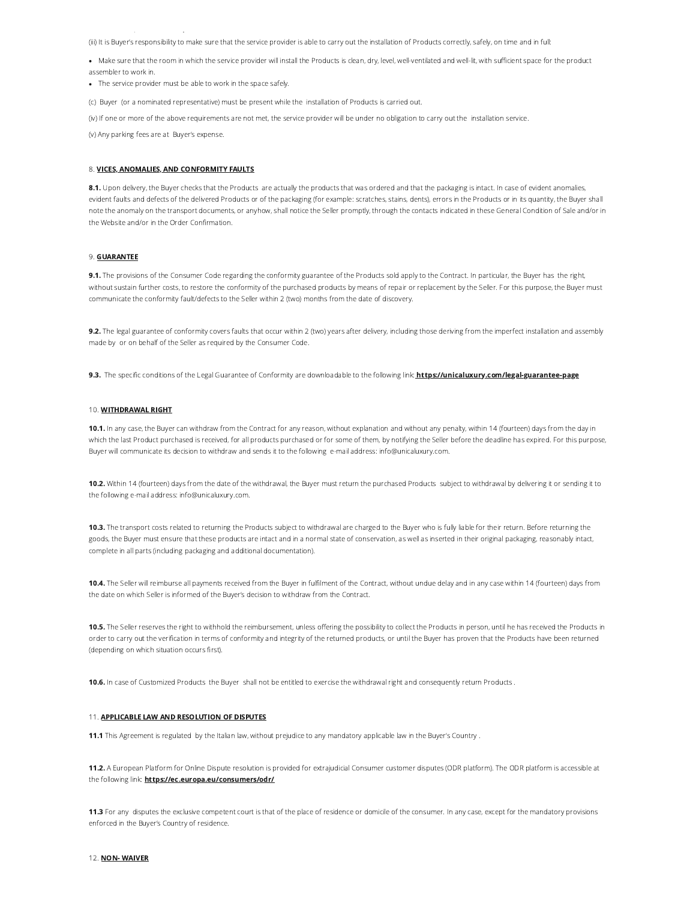(iii) It is Buyer's responsibility to make sure that the service provider is able to carry out the installation of Products correctly, safely, on time and in full:

Make sure that the room in which the service provider will install the Products is clean, dry, level, well-ventilated and well-lit, with sufficient space for the product assembler to work in.

• The service provider must be able to work in the space safely.

(c) Buyer (or a nominated representative) must be present while the installation of Products is carried out.

(iv) If one or more of the above requirements are not met, the service provider will be under no obligation to carry out the installation service.

(v) Any parking fees are at Buyer's expense.

 $\mathcal{L}(\mathcal{L}^{\mathcal{L}})$  and the set of  $\mathcal{L}^{\mathcal{L}}$  and  $\mathcal{L}^{\mathcal{L}}$ 

#### 8. VICES, ANOMALIES, AND CONFORMITY FAULTS

8.1. Upon delivery, the Buyer checks that the Products are actually the products that was ordered and that the packaging is intact. In case of evident anomalies, evident faults and defects of the delivered Products or of the packaging (for example: scratches, stains, dents), errors in the Products or in its quantity, the Buyer shall note the anomaly on the transport documents, or anyhow, shall notice the Seller promptly, through the contacts indicated in these General Condition of Sale and/or in the Website and/or in the Order Confirmation.

## 9. GUARANTEE

9.1. The provisions of the Consumer Code regarding the conformity guarantee of the Products sold apply to the Contract. In particular, the Buyer has the right, without sustain further costs, to restore the conformity of the purchased products by means of repair or replacement by the Seller. For this purpose, the Buyer must communicate the conformity fault/defects to the Seller within 2 (two) months from the date of discovery.

9.2. The legal guarantee of conformity covers faults that occur within 2 (two) years after delivery, including those deriving from the imperfect installation and assembly made by or on behalf of the Seller as required by the Consumer Code.

9.3. The specific conditions of the Legal Guarantee of Conformity are downloadable to the following link: <https://unicaluxury.com/legal-guarantee-page>

## 10. WITHDRAWAL RIGHT

10.1. In any case, the Buyer can withdraw from the Contract for any reason, without explanation and without any penalty, within 14 (fourteen) days from the day in which the last Product purchased is received, for all products purchased or for some of them, by notifying the Seller before the deadline has expired. For this purpose, Buyer will communicate its decision to withdraw and sends it to the following e-mail address: info@unicaluxury.com.

10.2. Within 14 (fourteen) days from the date of the withdrawal, the Buyer must return the purchased Products subject to withdrawal by delivering it or sending it to the following e-mail address: info@unicaluxury.com.

10.3. The transport costs related to returning the Products subject to withdrawal are charged to the Buyer who is fully liable for their return. Before returning the goods, the Buyer must ensure that these products are intact and in a normal state of conservation, as well as inserted in their original packaging, reasonably intact, complete in all parts (including packaging and additional documentation).

10.4. The Seller will reimburse all payments received from the Buyer in fulfilment of the Contract, without undue delay and in any case within 14 (fourteen) days from the date on which Seller is informed of the Buyer's decision to withdraw from the Contract.

10.5. The Seller reserves the right to withhold the reimbursement, unless offering the possibility to collect the Products in person, until he has received the Products in order to carry out the verification in terms of conformity and integrity of the returned products, or until the Buyer has proven that the Products have been returned (depending on which situation occurs first).

10.6. In case of Customized Products the Buyer shall not be entitled to exercise the withdrawal right and consequently return Products .

# 11. APPLICABLE LAW AND RESOLUTION OF DISPUTES

11.1 This Agreement is regulated by the Italian law, without prejudice to any mandatory applicable law in the Buyer's Country .

11.2. A European Platform for Online Dispute resolution is provided for extrajudicial Consumer customer disputes (ODR platform). The ODR platform is accessible at the following link: <https://ec.europa.eu/consumers/odr/>

11.3 For any disputes the exclusive competent court is that of the place of residence or domicile of the consumer. In any case, except for the mandatory provisions enforced in the Buyer's Country of residence.